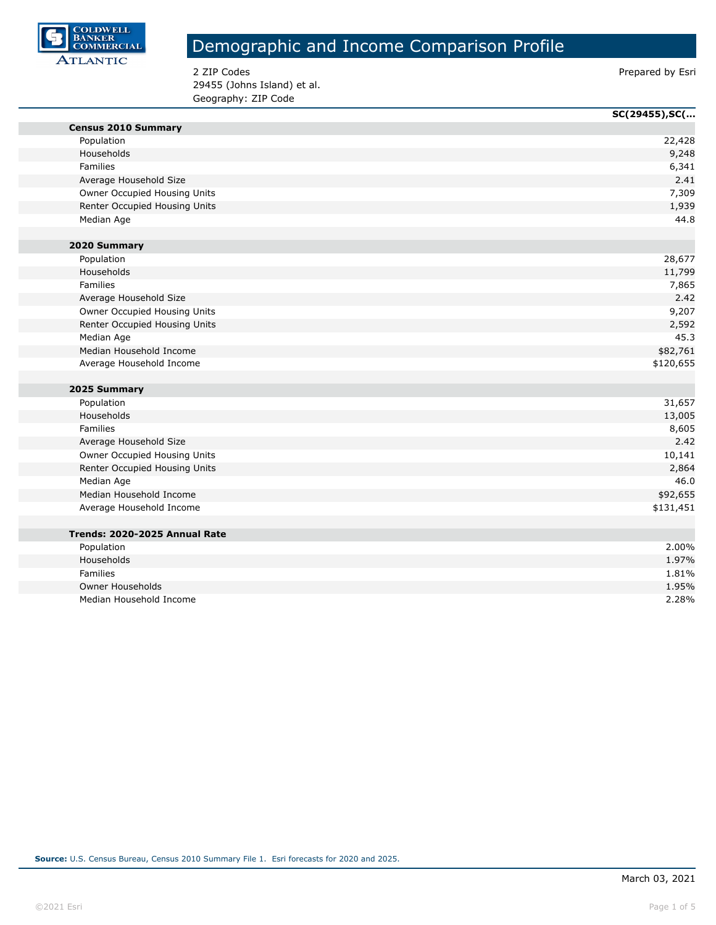

2 ZIP Codes **Prepared by Esri** 29455 (Johns Island) et al. Geography: ZIP Code

|                               | SC(29455), SC( |
|-------------------------------|----------------|
| <b>Census 2010 Summary</b>    |                |
| Population                    | 22,428         |
| Households                    | 9,248          |
| <b>Families</b>               | 6,341          |
| Average Household Size        | 2.41           |
| Owner Occupied Housing Units  | 7,309          |
| Renter Occupied Housing Units | 1,939          |
| Median Age                    | 44.8           |
|                               |                |
| 2020 Summary                  |                |
| Population                    | 28,677         |
| Households                    | 11,799         |
| Families                      | 7,865          |
| Average Household Size        | 2.42           |
| Owner Occupied Housing Units  | 9,207          |
| Renter Occupied Housing Units | 2,592          |
| Median Age                    | 45.3           |
| Median Household Income       | \$82,761       |
| Average Household Income      | \$120,655      |
|                               |                |
| 2025 Summary                  |                |
| Population                    | 31,657         |
| Households                    | 13,005         |
| Families                      | 8,605          |
| Average Household Size        | 2.42           |
| Owner Occupied Housing Units  | 10,141         |
| Renter Occupied Housing Units | 2,864          |
| Median Age                    | 46.0           |
| Median Household Income       | \$92,655       |
| Average Household Income      | \$131,451      |
|                               |                |
| Trends: 2020-2025 Annual Rate |                |
| Population                    | 2.00%          |
| Households                    | 1.97%          |
| Families                      | 1.81%          |
| <b>Owner Households</b>       | 1.95%          |
| Median Household Income       | 2.28%          |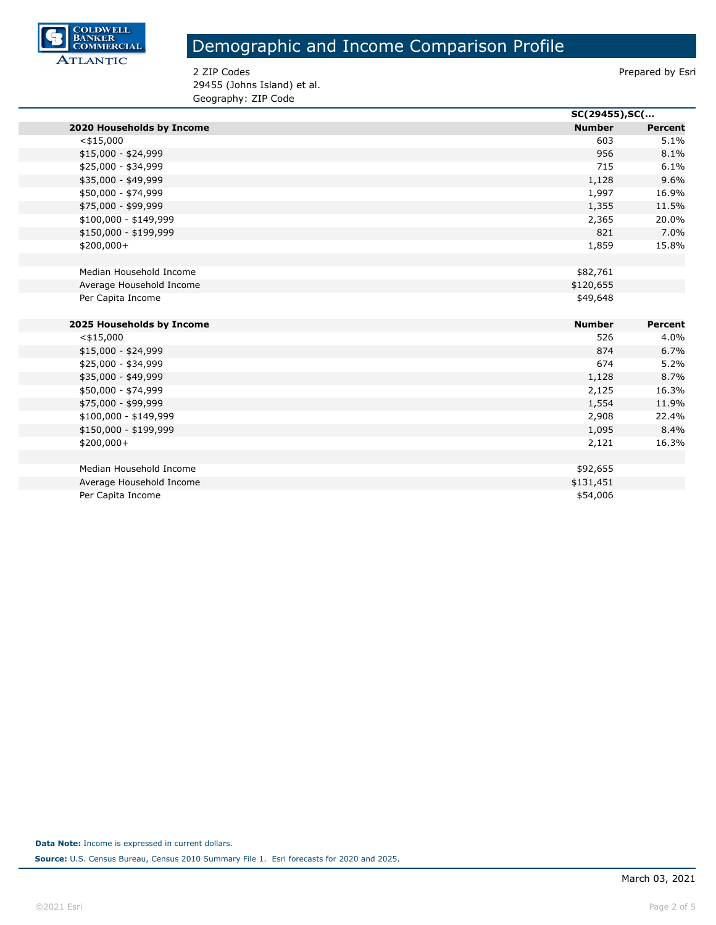

2 ZIP Codes **Prepared by Esri** 29455 (Johns Island) et al. Geography: ZIP Code

|                           |               | SC(29455), SC( |  |
|---------------------------|---------------|----------------|--|
| 2020 Households by Income | <b>Number</b> | <b>Percent</b> |  |
| $<$ \$15,000              | 603           | 5.1%           |  |
| $$15,000 - $24,999$       | 956           | 8.1%           |  |
| \$25,000 - \$34,999       | 715           | 6.1%           |  |
| \$35,000 - \$49,999       | 1,128         | 9.6%           |  |
| \$50,000 - \$74,999       | 1,997         | 16.9%          |  |
| \$75,000 - \$99,999       | 1,355         | 11.5%          |  |
| $$100,000 - $149,999$     | 2,365         | 20.0%          |  |
| \$150,000 - \$199,999     | 821           | 7.0%           |  |
| $$200,000+$               | 1,859         | 15.8%          |  |
|                           |               |                |  |
| Median Household Income   | \$82,761      |                |  |
| Average Household Income  | \$120,655     |                |  |
| Per Capita Income         | \$49,648      |                |  |
|                           |               |                |  |
| 2025 Households by Income | <b>Number</b> | <b>Percent</b> |  |
| $<$ \$15,000              | 526           | 4.0%           |  |
| $$15,000 - $24,999$       | 874           | 6.7%           |  |
| \$25,000 - \$34,999       | 674           | 5.2%           |  |
| \$35,000 - \$49,999       | 1,128         | 8.7%           |  |
| \$50,000 - \$74,999       | 2,125         | 16.3%          |  |
| \$75,000 - \$99,999       | 1,554         | 11.9%          |  |
| $$100,000 - $149,999$     | 2,908         | 22.4%          |  |
| \$150,000 - \$199,999     | 1,095         | 8.4%           |  |
| $$200,000+$               | 2,121         | 16.3%          |  |
|                           |               |                |  |
| Median Household Income   | \$92,655      |                |  |
| Average Household Income  | \$131,451     |                |  |
| Per Capita Income         | \$54,006      |                |  |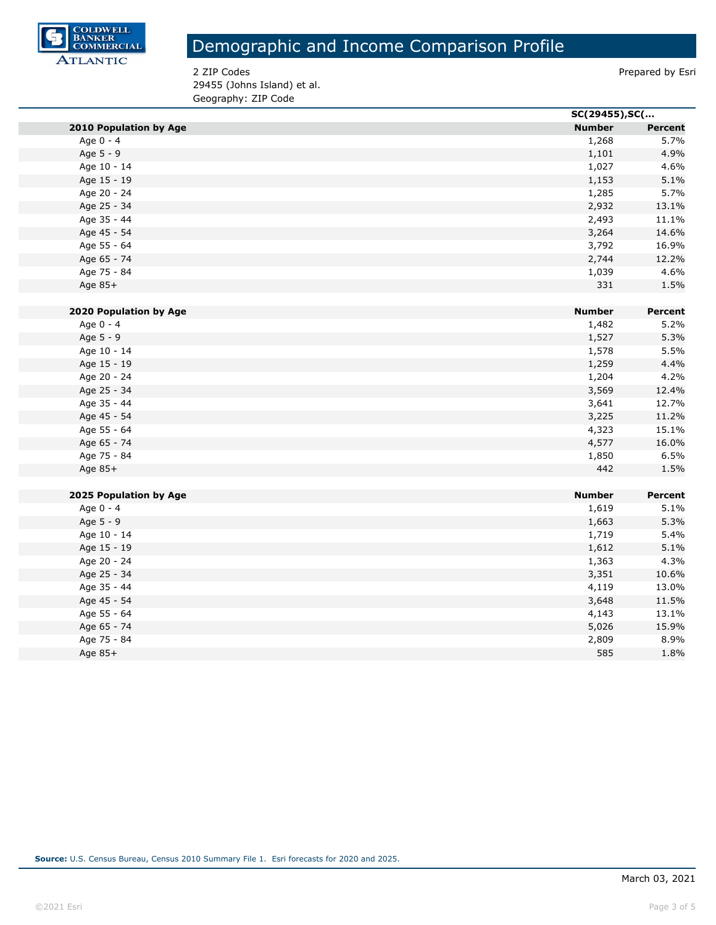

2 ZIP Codes **Prepared by Esri** 29455 (Johns Island) et al. Geography: ZIP Code

|                               |               | SC(29455), SC( |  |
|-------------------------------|---------------|----------------|--|
| <b>2010 Population by Age</b> | <b>Number</b> | <b>Percent</b> |  |
| Age 0 - 4                     | 1,268         | 5.7%           |  |
| Age 5 - 9                     | 1,101         | 4.9%           |  |
| Age 10 - 14                   | 1,027         | 4.6%           |  |
| Age 15 - 19                   | 1,153         | 5.1%           |  |
| Age 20 - 24                   | 1,285         | 5.7%           |  |
| Age 25 - 34                   | 2,932         | 13.1%          |  |
| Age 35 - 44                   | 2,493         | 11.1%          |  |
| Age 45 - 54                   | 3,264         | 14.6%          |  |
| Age 55 - 64                   | 3,792         | 16.9%          |  |
| Age 65 - 74                   | 2,744         | 12.2%          |  |
| Age 75 - 84                   | 1,039         | 4.6%           |  |
| Age 85+                       | 331           | 1.5%           |  |
|                               |               |                |  |
| 2020 Population by Age        | <b>Number</b> | Percent        |  |
| Age 0 - 4                     | 1,482         | 5.2%           |  |
| Age 5 - 9                     | 1,527         | 5.3%           |  |
| Age 10 - 14                   | 1,578         | 5.5%           |  |
| Age 15 - 19                   | 1,259         | 4.4%           |  |
| Age 20 - 24                   | 1,204         | 4.2%           |  |
| Age 25 - 34                   | 3,569         | 12.4%          |  |
| Age 35 - 44                   | 3,641         | 12.7%          |  |
| Age 45 - 54                   | 3,225         | 11.2%          |  |
| Age 55 - 64                   | 4,323         | 15.1%          |  |
| Age 65 - 74                   | 4,577         | 16.0%          |  |
| Age 75 - 84                   | 1,850         | 6.5%           |  |
| Age 85+                       | 442           | 1.5%           |  |
|                               |               |                |  |
| 2025 Population by Age        | <b>Number</b> | Percent        |  |
| Age 0 - 4                     | 1,619         | 5.1%           |  |
| Age 5 - 9                     | 1,663         | 5.3%           |  |
| Age 10 - 14                   | 1,719         | 5.4%           |  |
| Age 15 - 19                   | 1,612         | 5.1%           |  |
| Age 20 - 24                   | 1,363         | 4.3%           |  |
| Age 25 - 34                   | 3,351         | 10.6%          |  |
| Age 35 - 44                   | 4,119         | 13.0%          |  |
| Age 45 - 54                   | 3,648         | 11.5%          |  |
| Age 55 - 64                   | 4,143         | 13.1%          |  |
| Age 65 - 74                   | 5,026         | 15.9%          |  |
| Age 75 - 84                   | 2,809         | 8.9%           |  |
| Age 85+                       | 585           | 1.8%           |  |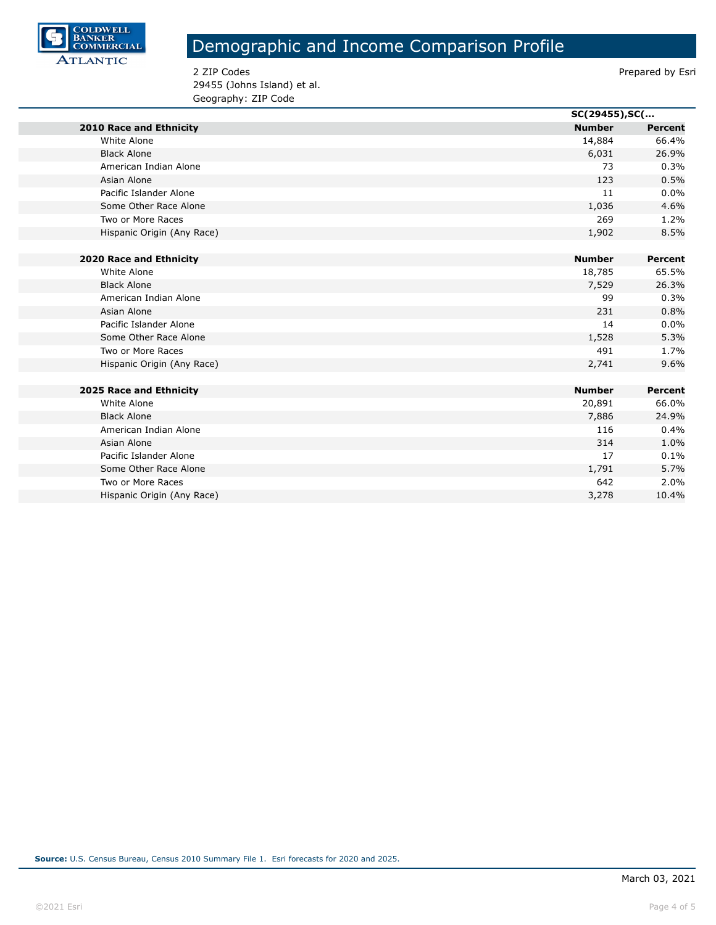

2 ZIP Codes **Prepared by Esri** 29455 (Johns Island) et al. Geography: ZIP Code

|                                |               | SC(29455), SC( |  |
|--------------------------------|---------------|----------------|--|
| <b>2010 Race and Ethnicity</b> | <b>Number</b> | <b>Percent</b> |  |
| White Alone                    | 14,884        | 66.4%          |  |
| <b>Black Alone</b>             | 6,031         | 26.9%          |  |
| American Indian Alone          | 73            | 0.3%           |  |
| Asian Alone                    | 123           | 0.5%           |  |
| Pacific Islander Alone         | 11            | 0.0%           |  |
| Some Other Race Alone          | 1,036         | 4.6%           |  |
| Two or More Races              | 269           | 1.2%           |  |
| Hispanic Origin (Any Race)     | 1,902         | 8.5%           |  |
|                                |               |                |  |
| <b>2020 Race and Ethnicity</b> | <b>Number</b> | Percent        |  |
| White Alone                    | 18,785        | 65.5%          |  |
| <b>Black Alone</b>             | 7,529         | 26.3%          |  |
| American Indian Alone          | 99            | 0.3%           |  |
| Asian Alone                    | 231           | 0.8%           |  |
| Pacific Islander Alone         | 14            | 0.0%           |  |
| Some Other Race Alone          | 1,528         | 5.3%           |  |
| Two or More Races              | 491           | 1.7%           |  |
| Hispanic Origin (Any Race)     | 2,741         | 9.6%           |  |
|                                |               |                |  |
| 2025 Race and Ethnicity        | <b>Number</b> | Percent        |  |
| White Alone                    | 20,891        | 66.0%          |  |
| <b>Black Alone</b>             | 7,886         | 24.9%          |  |
| American Indian Alone          | 116           | 0.4%           |  |
| Asian Alone                    | 314           | 1.0%           |  |
| Pacific Islander Alone         | 17            | 0.1%           |  |
| Some Other Race Alone          | 1,791         | 5.7%           |  |
| Two or More Races              | 642           | 2.0%           |  |
| Hispanic Origin (Any Race)     | 3,278         | 10.4%          |  |